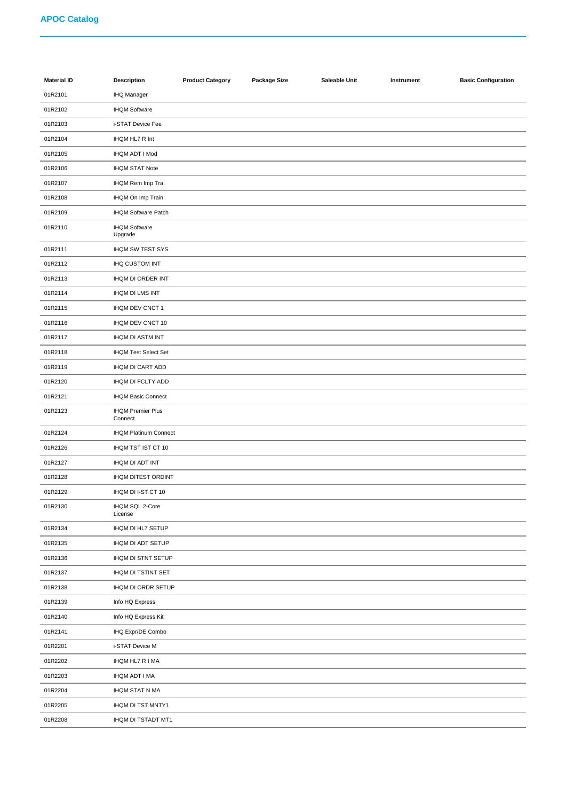| <b>Material ID</b> | <b>Description</b>                  | <b>Product Category</b> | Package Size | Saleable Unit | Instrument | <b>Basic Configuration</b> |
|--------------------|-------------------------------------|-------------------------|--------------|---------------|------------|----------------------------|
| 01R2101            | IHQ Manager                         |                         |              |               |            |                            |
| 01R2102            | <b>IHQM Software</b>                |                         |              |               |            |                            |
| 01R2103            | i-STAT Device Fee                   |                         |              |               |            |                            |
| 01R2104            | IHQM HL7 R Int                      |                         |              |               |            |                            |
| 01R2105            | <b>IHQM ADT I Mod</b>               |                         |              |               |            |                            |
| 01R2106            | <b>IHQM STAT Note</b>               |                         |              |               |            |                            |
| 01R2107            | IHQM Rem Imp Tra                    |                         |              |               |            |                            |
| 01R2108            | IHQM On Imp Train                   |                         |              |               |            |                            |
| 01R2109            | <b>IHQM Software Patch</b>          |                         |              |               |            |                            |
| 01R2110            | <b>IHQM Software</b><br>Upgrade     |                         |              |               |            |                            |
| 01R2111            | <b>IHQM SW TEST SYS</b>             |                         |              |               |            |                            |
| 01R2112            | <b>IHQ CUSTOM INT</b>               |                         |              |               |            |                            |
| 01R2113            | <b>IHQM DI ORDER INT</b>            |                         |              |               |            |                            |
| 01R2114            | IHQM DI LMS INT                     |                         |              |               |            |                            |
| 01R2115            | IHQM DEV CNCT 1                     |                         |              |               |            |                            |
| 01R2116            | IHQM DEV CNCT 10                    |                         |              |               |            |                            |
| 01R2117            | <b>IHQM DI ASTM INT</b>             |                         |              |               |            |                            |
| 01R2118            | <b>IHQM Test Select Set</b>         |                         |              |               |            |                            |
| 01R2119            | IHQM DI CART ADD                    |                         |              |               |            |                            |
| 01R2120            | IHQM DI FCLTY ADD                   |                         |              |               |            |                            |
| 01R2121            | <b>IHQM Basic Connect</b>           |                         |              |               |            |                            |
| 01R2123            | <b>IHQM Premier Plus</b><br>Connect |                         |              |               |            |                            |
| 01R2124            | <b>IHQM Platinum Connect</b>        |                         |              |               |            |                            |
| 01R2126            | IHQM TST IST CT 10                  |                         |              |               |            |                            |
| 01R2127            | IHQM DI ADT INT                     |                         |              |               |            |                            |
| 01R2128            | <b>IHQM DITEST ORDINT</b>           |                         |              |               |            |                            |
| 01R2129            | IHQM DI I-ST CT 10                  |                         |              |               |            |                            |
| 01R2130            | IHQM SQL 2-Core<br>License          |                         |              |               |            |                            |
| 01R2134            | IHQM DI HL7 SETUP                   |                         |              |               |            |                            |
| 01R2135            | IHQM DI ADT SETUP                   |                         |              |               |            |                            |
| 01R2136            | IHQM DI STNT SETUP                  |                         |              |               |            |                            |
| 01R2137            | IHQM DI TSTINT SET                  |                         |              |               |            |                            |
| 01R2138            | IHQM DI ORDR SETUP                  |                         |              |               |            |                            |
| 01R2139            | Info HQ Express                     |                         |              |               |            |                            |
| 01R2140            | Info HQ Express Kit                 |                         |              |               |            |                            |
| 01R2141            | IHQ Expr/DE Combo                   |                         |              |               |            |                            |
| 01R2201            | i-STAT Device M                     |                         |              |               |            |                            |
| 01R2202            | IHQM HL7 R I MA                     |                         |              |               |            |                            |
| 01R2203            | IHQM ADT I MA                       |                         |              |               |            |                            |
| 01R2204            | <b>IHQM STAT N MA</b>               |                         |              |               |            |                            |
| 01R2205            | IHQM DI TST MNTY1                   |                         |              |               |            |                            |
| 01R2208            | IHQM DI TSTADT MT1                  |                         |              |               |            |                            |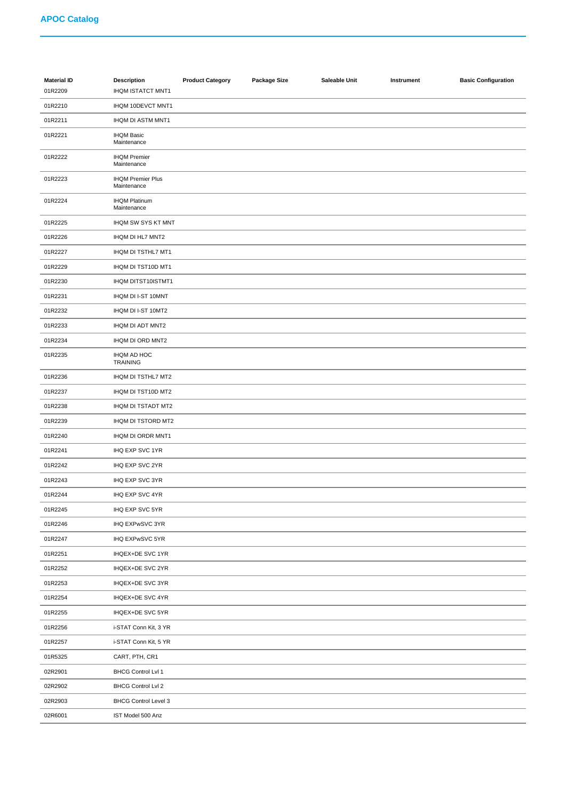| <b>Material ID</b> | <b>Description</b>                      | <b>Product Category</b> | Package Size | Saleable Unit | Instrument | <b>Basic Configuration</b> |
|--------------------|-----------------------------------------|-------------------------|--------------|---------------|------------|----------------------------|
| 01R2209            | <b>IHQM ISTATCT MNT1</b>                |                         |              |               |            |                            |
| 01R2210            | IHQM 10DEVCT MNT1                       |                         |              |               |            |                            |
| 01R2211            | <b>IHQM DI ASTM MNT1</b>                |                         |              |               |            |                            |
| 01R2221            | <b>IHQM Basic</b><br>Maintenance        |                         |              |               |            |                            |
| 01R2222            | <b>IHQM Premier</b><br>Maintenance      |                         |              |               |            |                            |
| 01R2223            | <b>IHQM Premier Plus</b><br>Maintenance |                         |              |               |            |                            |
| 01R2224            | <b>IHQM Platinum</b><br>Maintenance     |                         |              |               |            |                            |
| 01R2225            | <b>IHQM SW SYS KT MNT</b>               |                         |              |               |            |                            |
| 01R2226            | IHQM DI HL7 MNT2                        |                         |              |               |            |                            |
| 01R2227            | IHQM DI TSTHL7 MT1                      |                         |              |               |            |                            |
| 01R2229            | IHQM DI TST10D MT1                      |                         |              |               |            |                            |
| 01R2230            | IHQM DITST10ISTMT1                      |                         |              |               |            |                            |
| 01R2231            | IHQM DI I-ST 10MNT                      |                         |              |               |            |                            |
| 01R2232            | IHQM DI I-ST 10MT2                      |                         |              |               |            |                            |
| 01R2233            | IHQM DI ADT MNT2                        |                         |              |               |            |                            |
| 01R2234            | IHQM DI ORD MNT2                        |                         |              |               |            |                            |
| 01R2235            | IHQM AD HOC<br><b>TRAINING</b>          |                         |              |               |            |                            |
| 01R2236            | IHQM DI TSTHL7 MT2                      |                         |              |               |            |                            |
| 01R2237            | IHQM DI TST10D MT2                      |                         |              |               |            |                            |
| 01R2238            | IHQM DI TSTADT MT2                      |                         |              |               |            |                            |
| 01R2239            | IHQM DI TSTORD MT2                      |                         |              |               |            |                            |
| 01R2240            | IHQM DI ORDR MNT1                       |                         |              |               |            |                            |
| 01R2241            | IHQ EXP SVC 1YR                         |                         |              |               |            |                            |
| 01R2242            | IHQ EXP SVC 2YR                         |                         |              |               |            |                            |
| 01R2243            | IHQ EXP SVC 3YR                         |                         |              |               |            |                            |
| 01R2244            | IHQ EXP SVC 4YR                         |                         |              |               |            |                            |
| 01R2245            | IHQ EXP SVC 5YR                         |                         |              |               |            |                            |
| 01R2246            | IHQ EXPwSVC 3YR                         |                         |              |               |            |                            |
| 01R2247            | IHQ EXPwSVC 5YR                         |                         |              |               |            |                            |
| 01R2251            | IHQEX+DE SVC 1YR                        |                         |              |               |            |                            |
| 01R2252            | IHQEX+DE SVC 2YR                        |                         |              |               |            |                            |
| 01R2253            | IHQEX+DE SVC 3YR                        |                         |              |               |            |                            |
| 01R2254            | IHQEX+DE SVC 4YR                        |                         |              |               |            |                            |
| 01R2255            | IHQEX+DE SVC 5YR                        |                         |              |               |            |                            |
| 01R2256            | i-STAT Conn Kit, 3 YR                   |                         |              |               |            |                            |
| 01R2257            | i-STAT Conn Kit, 5 YR                   |                         |              |               |            |                            |
| 01R5325            | CART, PTH, CR1                          |                         |              |               |            |                            |
| 02R2901            | <b>BHCG Control Lvl 1</b>               |                         |              |               |            |                            |
| 02R2902            | <b>BHCG Control Lvl 2</b>               |                         |              |               |            |                            |
| 02R2903            | <b>BHCG Control Level 3</b>             |                         |              |               |            |                            |
| 02R6001            | IST Model 500 Anz                       |                         |              |               |            |                            |
|                    |                                         |                         |              |               |            |                            |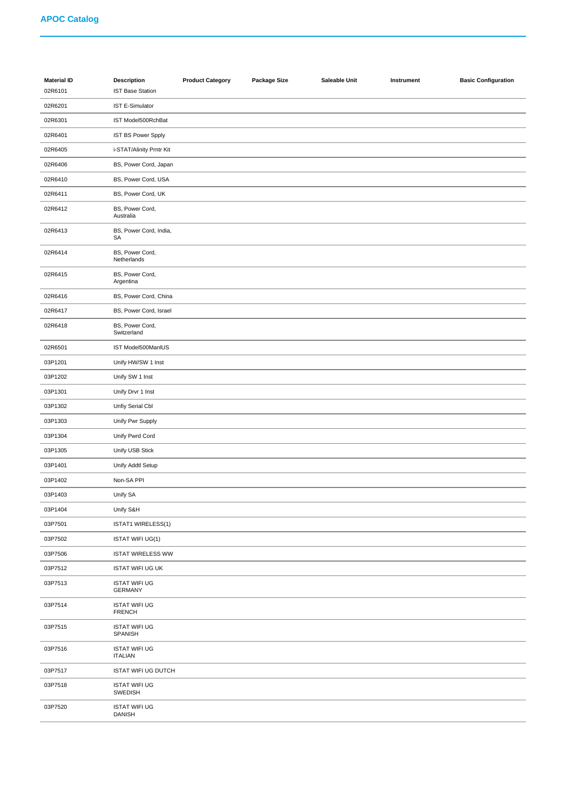| <b>Material ID</b> | <b>Description</b>                     | <b>Product Category</b> | Package Size | Saleable Unit | Instrument | <b>Basic Configuration</b> |
|--------------------|----------------------------------------|-------------------------|--------------|---------------|------------|----------------------------|
| 02R6101            | <b>IST Base Station</b>                |                         |              |               |            |                            |
| 02R6201            | IST E-Simulator                        |                         |              |               |            |                            |
| 02R6301            | IST Model500RchBat                     |                         |              |               |            |                            |
| 02R6401            | IST BS Power Spply                     |                         |              |               |            |                            |
| 02R6405            | i-STAT/Alinity Prntr Kit               |                         |              |               |            |                            |
| 02R6406            | BS, Power Cord, Japan                  |                         |              |               |            |                            |
| 02R6410            | BS, Power Cord, USA                    |                         |              |               |            |                            |
| 02R6411            | BS, Power Cord, UK                     |                         |              |               |            |                            |
| 02R6412            | BS, Power Cord,<br>Australia           |                         |              |               |            |                            |
| 02R6413            | BS, Power Cord, India,<br>SA           |                         |              |               |            |                            |
| 02R6414            | BS, Power Cord,<br>Netherlands         |                         |              |               |            |                            |
| 02R6415            | BS, Power Cord,<br>Argentina           |                         |              |               |            |                            |
| 02R6416            | BS, Power Cord, China                  |                         |              |               |            |                            |
| 02R6417            | BS, Power Cord, Israel                 |                         |              |               |            |                            |
| 02R6418            | BS, Power Cord,<br>Switzerland         |                         |              |               |            |                            |
| 02R6501            | IST Model500ManIUS                     |                         |              |               |            |                            |
| 03P1201            | Unify HW/SW 1 Inst                     |                         |              |               |            |                            |
| 03P1202            | Unify SW 1 Inst                        |                         |              |               |            |                            |
| 03P1301            | Unify Drvr 1 Inst                      |                         |              |               |            |                            |
| 03P1302            | Unfiy Serial Cbl                       |                         |              |               |            |                            |
| 03P1303            | Unify Pwr Supply                       |                         |              |               |            |                            |
| 03P1304            | Unify Pwrd Cord                        |                         |              |               |            |                            |
| 03P1305            | Unify USB Stick                        |                         |              |               |            |                            |
| 03P1401            | Unify Addtl Setup                      |                         |              |               |            |                            |
| 03P1402            | Non-SA PPI                             |                         |              |               |            |                            |
| 03P1403            | Unify SA                               |                         |              |               |            |                            |
| 03P1404            | Unify S&H                              |                         |              |               |            |                            |
| 03P7501            | ISTAT1 WIRELESS(1)                     |                         |              |               |            |                            |
| 03P7502            | <b>ISTAT WIFI UG(1)</b>                |                         |              |               |            |                            |
| 03P7506            | <b>ISTAT WIRELESS WW</b>               |                         |              |               |            |                            |
| 03P7512            | <b>ISTAT WIFI UG UK</b>                |                         |              |               |            |                            |
| 03P7513            | <b>ISTAT WIFI UG</b><br><b>GERMANY</b> |                         |              |               |            |                            |
| 03P7514            | <b>ISTAT WIFI UG</b><br><b>FRENCH</b>  |                         |              |               |            |                            |
| 03P7515            | <b>ISTAT WIFI UG</b><br>SPANISH        |                         |              |               |            |                            |
| 03P7516            | <b>ISTAT WIFI UG</b><br><b>ITALIAN</b> |                         |              |               |            |                            |
| 03P7517            | <b>ISTAT WIFI UG DUTCH</b>             |                         |              |               |            |                            |
| 03P7518            | <b>ISTAT WIFI UG</b><br>SWEDISH        |                         |              |               |            |                            |
| 03P7520            | <b>ISTAT WIFI UG</b><br>DANISH         |                         |              |               |            |                            |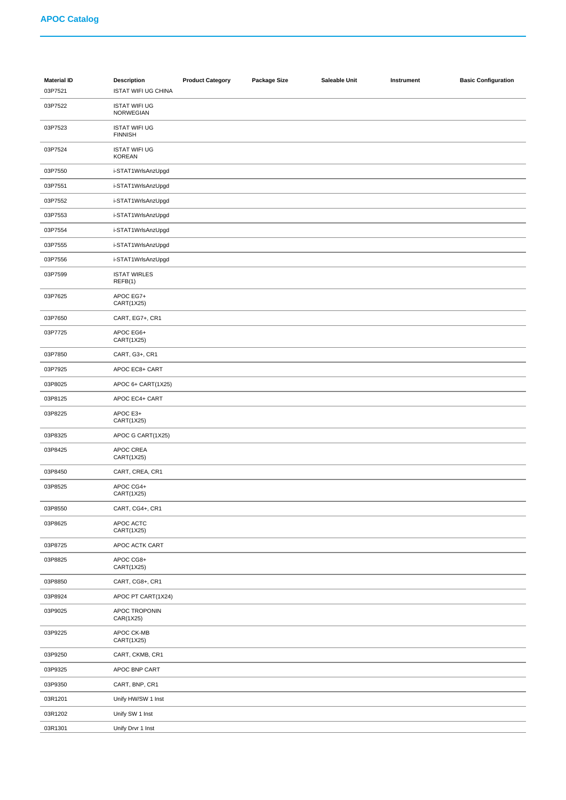| <b>Material ID</b> | <b>Description</b>                       | <b>Product Category</b> | Package Size | Saleable Unit | Instrument | <b>Basic Configuration</b> |
|--------------------|------------------------------------------|-------------------------|--------------|---------------|------------|----------------------------|
| 03P7521            | <b>ISTAT WIFI UG CHINA</b>               |                         |              |               |            |                            |
| 03P7522            | <b>ISTAT WIFI UG</b><br><b>NORWEGIAN</b> |                         |              |               |            |                            |
| 03P7523            | <b>ISTAT WIFI UG</b><br><b>FINNISH</b>   |                         |              |               |            |                            |
| 03P7524            | <b>ISTAT WIFI UG</b><br>KOREAN           |                         |              |               |            |                            |
| 03P7550            | i-STAT1WrlsAnzUpgd                       |                         |              |               |            |                            |
| 03P7551            | i-STAT1WrlsAnzUpgd                       |                         |              |               |            |                            |
| 03P7552            | i-STAT1WrlsAnzUpgd                       |                         |              |               |            |                            |
| 03P7553            | i-STAT1WrlsAnzUpgd                       |                         |              |               |            |                            |
| 03P7554            | i-STAT1WrlsAnzUpgd                       |                         |              |               |            |                            |
| 03P7555            | i-STAT1WrlsAnzUpgd                       |                         |              |               |            |                            |
| 03P7556            | i-STAT1WrlsAnzUpgd                       |                         |              |               |            |                            |
| 03P7599            | <b>ISTAT WIRLES</b><br>REFB(1)           |                         |              |               |            |                            |
| 03P7625            | APOC EG7+<br>CART(1X25)                  |                         |              |               |            |                            |
| 03P7650            | CART, EG7+, CR1                          |                         |              |               |            |                            |
| 03P7725            | APOC EG6+<br>CART(1X25)                  |                         |              |               |            |                            |
| 03P7850            | CART, G3+, CR1                           |                         |              |               |            |                            |
| 03P7925            | APOC EC8+ CART                           |                         |              |               |            |                            |
| 03P8025            | APOC 6+ CART(1X25)                       |                         |              |               |            |                            |
| 03P8125            | APOC EC4+ CART                           |                         |              |               |            |                            |
| 03P8225            | APOC E3+<br>CART(1X25)                   |                         |              |               |            |                            |
| 03P8325            | APOC G CART(1X25)                        |                         |              |               |            |                            |
| 03P8425            | APOC CREA<br>CART(1X25)                  |                         |              |               |            |                            |
| 03P8450            | CART, CREA, CR1                          |                         |              |               |            |                            |
| 03P8525            | APOC CG4+<br>CART(1X25)                  |                         |              |               |            |                            |
| 03P8550            | CART, CG4+, CR1                          |                         |              |               |            |                            |
| 03P8625            | APOC ACTC<br>CART(1X25)                  |                         |              |               |            |                            |
| 03P8725            | APOC ACTK CART                           |                         |              |               |            |                            |
| 03P8825            | APOC CG8+<br>CART(1X25)                  |                         |              |               |            |                            |
| 03P8850            | CART, CG8+, CR1                          |                         |              |               |            |                            |
| 03P8924            | APOC PT CART(1X24)                       |                         |              |               |            |                            |
| 03P9025            | APOC TROPONIN<br>CAR(1X25)               |                         |              |               |            |                            |
| 03P9225            | APOC CK-MB<br>CART(1X25)                 |                         |              |               |            |                            |
| 03P9250            | CART, CKMB, CR1                          |                         |              |               |            |                            |
| 03P9325            | APOC BNP CART                            |                         |              |               |            |                            |
| 03P9350            | CART, BNP, CR1                           |                         |              |               |            |                            |
| 03R1201            | Unify HW/SW 1 Inst                       |                         |              |               |            |                            |
| 03R1202            | Unify SW 1 Inst                          |                         |              |               |            |                            |
| 03R1301            | Unify Drvr 1 Inst                        |                         |              |               |            |                            |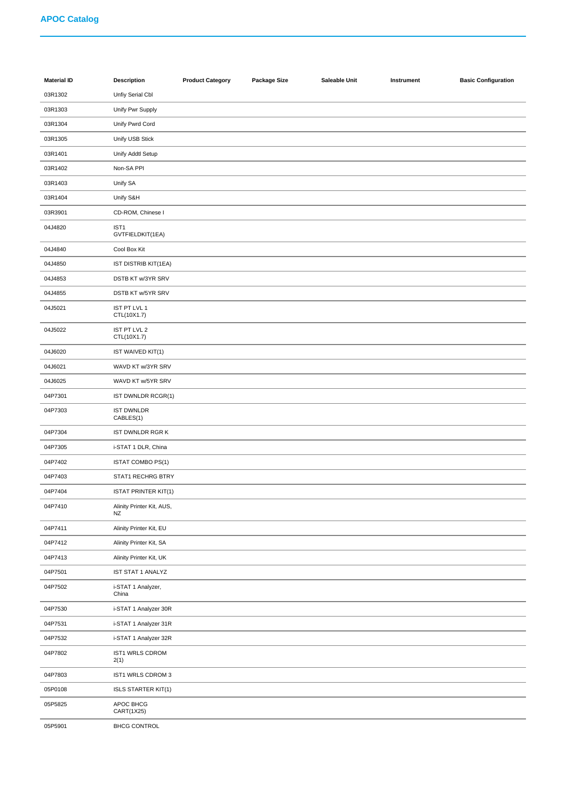| <b>Material ID</b> | <b>Description</b>                   | <b>Product Category</b> | Package Size | Saleable Unit | Instrument | <b>Basic Configuration</b> |
|--------------------|--------------------------------------|-------------------------|--------------|---------------|------------|----------------------------|
| 03R1302            | Unfiy Serial Cbl                     |                         |              |               |            |                            |
| 03R1303            | Unify Pwr Supply                     |                         |              |               |            |                            |
| 03R1304            | Unify Pwrd Cord                      |                         |              |               |            |                            |
| 03R1305            | Unify USB Stick                      |                         |              |               |            |                            |
| 03R1401            | Unify Addtl Setup                    |                         |              |               |            |                            |
| 03R1402            | Non-SA PPI                           |                         |              |               |            |                            |
| 03R1403            | Unify SA                             |                         |              |               |            |                            |
| 03R1404            | Unify S&H                            |                         |              |               |            |                            |
| 03R3901            | CD-ROM, Chinese I                    |                         |              |               |            |                            |
| 04J4820            | IST <sub>1</sub><br>GVTFIELDKIT(1EA) |                         |              |               |            |                            |
| 04J4840            | Cool Box Kit                         |                         |              |               |            |                            |
| 04J4850            | IST DISTRIB KIT(1EA)                 |                         |              |               |            |                            |
| 04J4853            | DSTB KT w/3YR SRV                    |                         |              |               |            |                            |
| 04J4855            | DSTB KT w/5YR SRV                    |                         |              |               |            |                            |
| 04J5021            | IST PT LVL 1<br>CTL(10X1.7)          |                         |              |               |            |                            |
| 04J5022            | IST PT LVL 2<br>CTL(10X1.7)          |                         |              |               |            |                            |
| 04J6020            | IST WAIVED KIT(1)                    |                         |              |               |            |                            |
| 04J6021            | WAVD KT w/3YR SRV                    |                         |              |               |            |                            |
| 04J6025            | WAVD KT w/5YR SRV                    |                         |              |               |            |                            |
| 04P7301            | IST DWNLDR RCGR(1)                   |                         |              |               |            |                            |
| 04P7303            | <b>IST DWNLDR</b><br>CABLES(1)       |                         |              |               |            |                            |
| 04P7304            | IST DWNLDR RGR K                     |                         |              |               |            |                            |
| 04P7305            | i-STAT 1 DLR, China                  |                         |              |               |            |                            |
| 04P7402            | ISTAT COMBO PS(1)                    |                         |              |               |            |                            |
| 04P7403            | STAT1 RECHRG BTRY                    |                         |              |               |            |                            |
| 04P7404            | <b>ISTAT PRINTER KIT(1)</b>          |                         |              |               |            |                            |
| 04P7410            | Alinity Printer Kit, AUS,<br>NZ      |                         |              |               |            |                            |
| 04P7411            | Alinity Printer Kit, EU              |                         |              |               |            |                            |
| 04P7412            | Alinity Printer Kit, SA              |                         |              |               |            |                            |
| 04P7413            | Alinity Printer Kit, UK              |                         |              |               |            |                            |
| 04P7501            | IST STAT 1 ANALYZ                    |                         |              |               |            |                            |
| 04P7502            | i-STAT 1 Analyzer,<br>China          |                         |              |               |            |                            |
| 04P7530            | i-STAT 1 Analyzer 30R                |                         |              |               |            |                            |
| 04P7531            | i-STAT 1 Analyzer 31R                |                         |              |               |            |                            |
| 04P7532            | i-STAT 1 Analyzer 32R                |                         |              |               |            |                            |
| 04P7802            | <b>IST1 WRLS CDROM</b><br>2(1)       |                         |              |               |            |                            |
| 04P7803            | IST1 WRLS CDROM 3                    |                         |              |               |            |                            |
| 05P0108            | <b>ISLS STARTER KIT(1)</b>           |                         |              |               |            |                            |
| 05P5825            | APOC BHCG<br>CART(1X25)              |                         |              |               |            |                            |
| 05P5901            | <b>BHCG CONTROL</b>                  |                         |              |               |            |                            |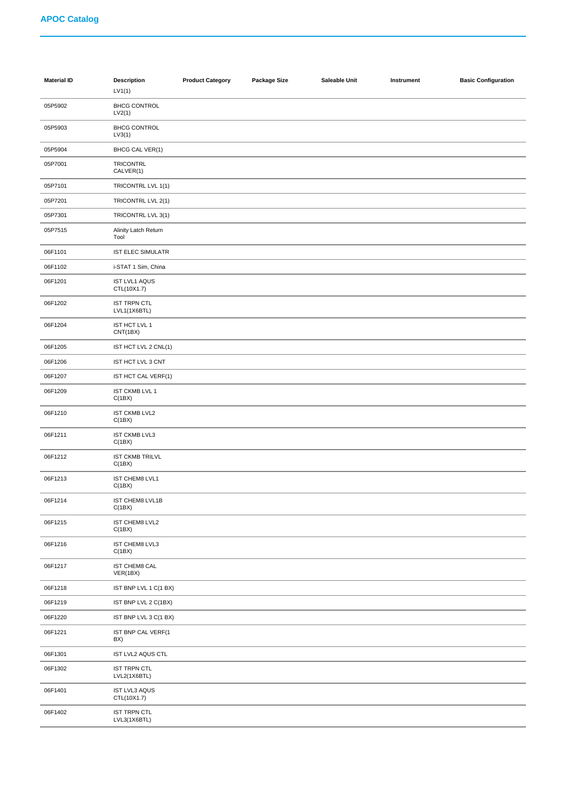| <b>Material ID</b> | <b>Description</b><br>LV1(1)        | <b>Product Category</b> | Package Size | Saleable Unit | Instrument | <b>Basic Configuration</b> |
|--------------------|-------------------------------------|-------------------------|--------------|---------------|------------|----------------------------|
| 05P5902            | <b>BHCG CONTROL</b><br>LV2(1)       |                         |              |               |            |                            |
| 05P5903            | <b>BHCG CONTROL</b><br>LV3(1)       |                         |              |               |            |                            |
| 05P5904            | BHCG CAL VER(1)                     |                         |              |               |            |                            |
| 05P7001            | <b>TRICONTRL</b><br>CALVER(1)       |                         |              |               |            |                            |
| 05P7101            | TRICONTRL LVL 1(1)                  |                         |              |               |            |                            |
| 05P7201            | TRICONTRL LVL 2(1)                  |                         |              |               |            |                            |
| 05P7301            | TRICONTRL LVL 3(1)                  |                         |              |               |            |                            |
| 05P7515            | Alinity Latch Return<br>Tool        |                         |              |               |            |                            |
| 06F1101            | <b>IST ELEC SIMULATR</b>            |                         |              |               |            |                            |
| 06F1102            | i-STAT 1 Sim, China                 |                         |              |               |            |                            |
| 06F1201            | <b>IST LVL1 AQUS</b><br>CTL(10X1.7) |                         |              |               |            |                            |
| 06F1202            | <b>IST TRPN CTL</b><br>LVL1(1X6BTL) |                         |              |               |            |                            |
| 06F1204            | IST HCT LVL 1<br>CNT(1BX)           |                         |              |               |            |                            |
| 06F1205            | IST HCT LVL 2 CNL(1)                |                         |              |               |            |                            |
| 06F1206            | IST HCT LVL 3 CNT                   |                         |              |               |            |                            |
| 06F1207            | IST HCT CAL VERF(1)                 |                         |              |               |            |                            |
| 06F1209            | <b>IST CKMB LVL 1</b><br>C(1BX)     |                         |              |               |            |                            |
| 06F1210            | <b>IST CKMB LVL2</b><br>C(1BX)      |                         |              |               |            |                            |
| 06F1211            | <b>IST CKMB LVL3</b><br>C(1BX)      |                         |              |               |            |                            |
| 06F1212            | <b>IST CKMB TRILVL</b><br>C(1BX)    |                         |              |               |            |                            |
| 06F1213            | IST CHEM8 LVL1<br>C(1BX)            |                         |              |               |            |                            |
| 06F1214            | IST CHEM8 LVL1B<br>C(1BX)           |                         |              |               |            |                            |
| 06F1215            | IST CHEM8 LVL2<br>C(1BX)            |                         |              |               |            |                            |
| 06F1216            | IST CHEM8 LVL3<br>C(1BX)            |                         |              |               |            |                            |
| 06F1217            | IST CHEM8 CAL<br>VER(1BX)           |                         |              |               |            |                            |
| 06F1218            | IST BNP LVL 1 C(1 BX)               |                         |              |               |            |                            |
| 06F1219            | IST BNP LVL 2 C(1BX)                |                         |              |               |            |                            |
| 06F1220            | IST BNP LVL 3 C(1 BX)               |                         |              |               |            |                            |
| 06F1221            | IST BNP CAL VERF(1<br>BX)           |                         |              |               |            |                            |
| 06F1301            | IST LVL2 AQUS CTL                   |                         |              |               |            |                            |
| 06F1302            | IST TRPN CTL<br>LVL2(1X6BTL)        |                         |              |               |            |                            |
| 06F1401            | <b>IST LVL3 AQUS</b><br>CTL(10X1.7) |                         |              |               |            |                            |
| 06F1402            | IST TRPN CTL<br>LVL3(1X6BTL)        |                         |              |               |            |                            |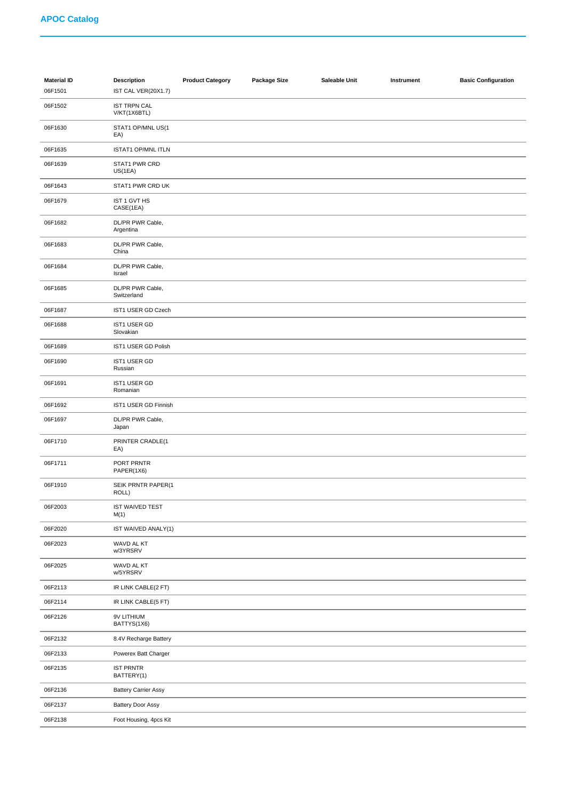| <b>Material ID</b> | <b>Description</b>                  | <b>Product Category</b> | Package Size | Saleable Unit | Instrument | <b>Basic Configuration</b> |
|--------------------|-------------------------------------|-------------------------|--------------|---------------|------------|----------------------------|
| 06F1501            | IST CAL VER(20X1.7)                 |                         |              |               |            |                            |
| 06F1502            | <b>IST TRPN CAL</b><br>V/KT(1X6BTL) |                         |              |               |            |                            |
| 06F1630            | STAT1 OP/MNL US(1<br>EA)            |                         |              |               |            |                            |
| 06F1635            | <b>ISTAT1 OP/MNL ITLN</b>           |                         |              |               |            |                            |
| 06F1639            | STAT1 PWR CRD<br>US(1EA)            |                         |              |               |            |                            |
| 06F1643            | STAT1 PWR CRD UK                    |                         |              |               |            |                            |
| 06F1679            | IST 1 GVT HS<br>CASE(1EA)           |                         |              |               |            |                            |
| 06F1682            | DL/PR PWR Cable,<br>Argentina       |                         |              |               |            |                            |
| 06F1683            | DL/PR PWR Cable,<br>China           |                         |              |               |            |                            |
| 06F1684            | DL/PR PWR Cable,<br>Israel          |                         |              |               |            |                            |
| 06F1685            | DL/PR PWR Cable,<br>Switzerland     |                         |              |               |            |                            |
| 06F1687            | IST1 USER GD Czech                  |                         |              |               |            |                            |
| 06F1688            | <b>IST1 USER GD</b><br>Slovakian    |                         |              |               |            |                            |
| 06F1689            | IST1 USER GD Polish                 |                         |              |               |            |                            |
| 06F1690            | <b>IST1 USER GD</b><br>Russian      |                         |              |               |            |                            |
| 06F1691            | IST1 USER GD<br>Romanian            |                         |              |               |            |                            |
| 06F1692            | IST1 USER GD Finnish                |                         |              |               |            |                            |
| 06F1697            | DL/PR PWR Cable,<br>Japan           |                         |              |               |            |                            |
| 06F1710            | PRINTER CRADLE(1<br>EA)             |                         |              |               |            |                            |
| 06F1711            | PORT PRNTR<br>PAPER(1X6)            |                         |              |               |            |                            |
| 06F1910            | SEIK PRNTR PAPER(1<br>ROLL)         |                         |              |               |            |                            |
| 06F2003            | <b>IST WAIVED TEST</b><br>M(1)      |                         |              |               |            |                            |
| 06F2020            | IST WAIVED ANALY(1)                 |                         |              |               |            |                            |
| 06F2023            | WAVD AL KT<br>w/3YRSRV              |                         |              |               |            |                            |
| 06F2025            | WAVD AL KT<br>w/5YRSRV              |                         |              |               |            |                            |
| 06F2113            | IR LINK CABLE(2 FT)                 |                         |              |               |            |                            |
| 06F2114            | IR LINK CABLE(5 FT)                 |                         |              |               |            |                            |
| 06F2126            | 9V LITHIUM<br>BATTYS(1X6)           |                         |              |               |            |                            |
| 06F2132            | 8.4V Recharge Battery               |                         |              |               |            |                            |
| 06F2133            | Powerex Batt Charger                |                         |              |               |            |                            |
| 06F2135            | <b>IST PRNTR</b><br>BATTERY(1)      |                         |              |               |            |                            |
| 06F2136            | <b>Battery Carrier Assy</b>         |                         |              |               |            |                            |
| 06F2137            | <b>Battery Door Assy</b>            |                         |              |               |            |                            |
| 06F2138            | Foot Housing, 4pcs Kit              |                         |              |               |            |                            |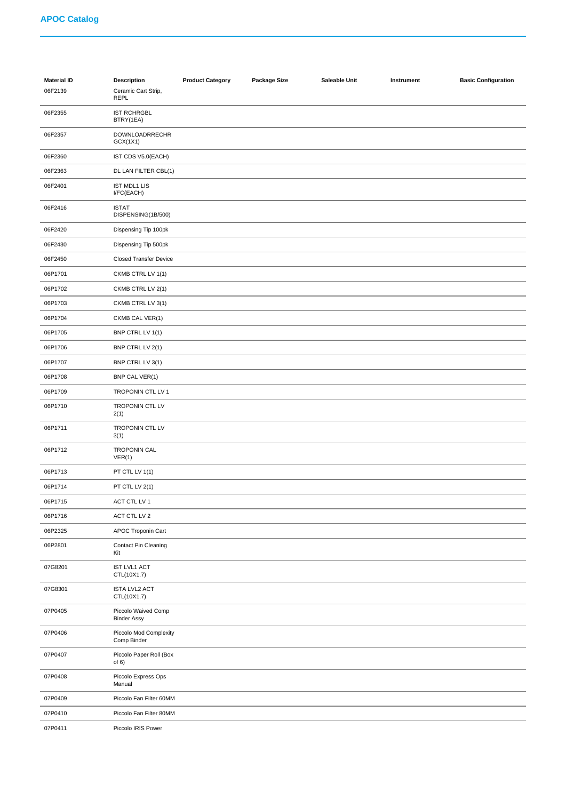| <b>Material ID</b> | <b>Description</b>                        | <b>Product Category</b> | Package Size | Saleable Unit | Instrument | <b>Basic Configuration</b> |
|--------------------|-------------------------------------------|-------------------------|--------------|---------------|------------|----------------------------|
| 06F2139            | Ceramic Cart Strip,<br><b>REPL</b>        |                         |              |               |            |                            |
| 06F2355            | <b>IST RCHRGBL</b><br>BTRY(1EA)           |                         |              |               |            |                            |
| 06F2357            | <b>DOWNLOADRRECHR</b><br>GCX(1X1)         |                         |              |               |            |                            |
| 06F2360            | IST CDS V5.0(EACH)                        |                         |              |               |            |                            |
| 06F2363            | DL LAN FILTER CBL(1)                      |                         |              |               |            |                            |
| 06F2401            | <b>IST MDL1 LIS</b><br>I/FC(EACH)         |                         |              |               |            |                            |
| 06F2416            | <b>ISTAT</b><br>DISPENSING(1B/500)        |                         |              |               |            |                            |
| 06F2420            | Dispensing Tip 100pk                      |                         |              |               |            |                            |
| 06F2430            | Dispensing Tip 500pk                      |                         |              |               |            |                            |
| 06F2450            | <b>Closed Transfer Device</b>             |                         |              |               |            |                            |
| 06P1701            | CKMB CTRL LV 1(1)                         |                         |              |               |            |                            |
| 06P1702            | CKMB CTRL LV 2(1)                         |                         |              |               |            |                            |
| 06P1703            | CKMB CTRL LV 3(1)                         |                         |              |               |            |                            |
| 06P1704            | CKMB CAL VER(1)                           |                         |              |               |            |                            |
| 06P1705            | BNP CTRL LV 1(1)                          |                         |              |               |            |                            |
| 06P1706            | BNP CTRL LV 2(1)                          |                         |              |               |            |                            |
| 06P1707            | BNP CTRL LV 3(1)                          |                         |              |               |            |                            |
| 06P1708            | BNP CAL VER(1)                            |                         |              |               |            |                            |
| 06P1709            | TROPONIN CTL LV 1                         |                         |              |               |            |                            |
| 06P1710            | TROPONIN CTL LV<br>2(1)                   |                         |              |               |            |                            |
| 06P1711            | TROPONIN CTL LV<br>3(1)                   |                         |              |               |            |                            |
| 06P1712            | TROPONIN CAL<br>VER(1)                    |                         |              |               |            |                            |
| 06P1713            | PT CTL LV 1(1)                            |                         |              |               |            |                            |
| 06P1714            | PT CTL LV 2(1)                            |                         |              |               |            |                            |
| 06P1715            | ACT CTL LV 1                              |                         |              |               |            |                            |
| 06P1716            | ACT CTL LV 2                              |                         |              |               |            |                            |
| 06P2325            | APOC Troponin Cart                        |                         |              |               |            |                            |
| 06P2801            | Contact Pin Cleaning<br>Kit               |                         |              |               |            |                            |
| 07G8201            | <b>IST LVL1 ACT</b><br>CTL(10X1.7)        |                         |              |               |            |                            |
| 07G8301            | <b>ISTA LVL2 ACT</b><br>CTL(10X1.7)       |                         |              |               |            |                            |
| 07P0405            | Piccolo Waived Comp<br><b>Binder Assy</b> |                         |              |               |            |                            |
| 07P0406            | Piccolo Mod Complexity<br>Comp Binder     |                         |              |               |            |                            |
| 07P0407            | Piccolo Paper Roll (Box<br>of $6)$        |                         |              |               |            |                            |
| 07P0408            | Piccolo Express Ops<br>Manual             |                         |              |               |            |                            |
| 07P0409            | Piccolo Fan Filter 60MM                   |                         |              |               |            |                            |
| 07P0410            | Piccolo Fan Filter 80MM                   |                         |              |               |            |                            |
| 07P0411            | Piccolo IRIS Power                        |                         |              |               |            |                            |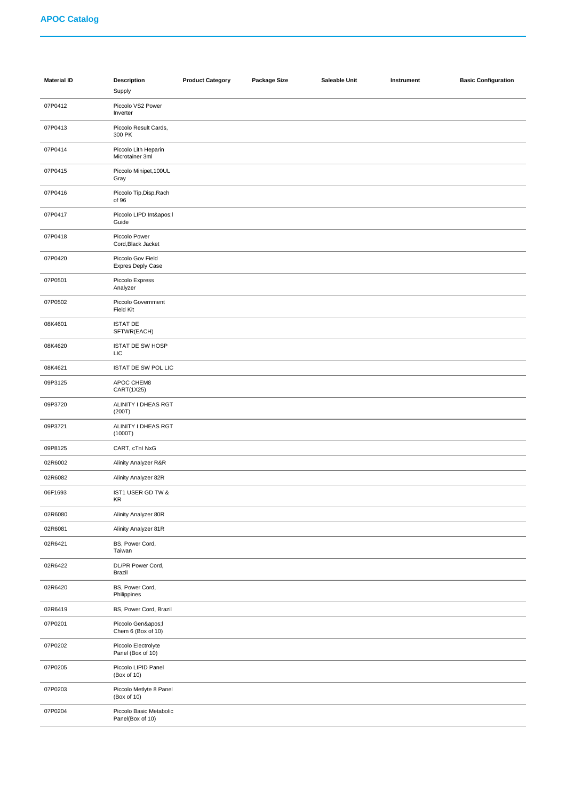| <b>Material ID</b> | <b>Description</b><br>Supply                | <b>Product Category</b> | Package Size | Saleable Unit | Instrument | <b>Basic Configuration</b> |
|--------------------|---------------------------------------------|-------------------------|--------------|---------------|------------|----------------------------|
| 07P0412            | Piccolo VS2 Power<br>Inverter               |                         |              |               |            |                            |
| 07P0413            | Piccolo Result Cards,<br>300 PK             |                         |              |               |            |                            |
| 07P0414            | Piccolo Lith Heparin<br>Microtainer 3ml     |                         |              |               |            |                            |
| 07P0415            | Piccolo Minipet, 100UL<br>Gray              |                         |              |               |            |                            |
| 07P0416            | Piccolo Tip, Disp, Rach<br>of 96            |                         |              |               |            |                            |
| 07P0417            | Piccolo LIPD Int'I<br>Guide                 |                         |              |               |            |                            |
| 07P0418            | Piccolo Power<br>Cord, Black Jacket         |                         |              |               |            |                            |
| 07P0420            | Piccolo Gov Field<br>Expres Deply Case      |                         |              |               |            |                            |
| 07P0501            | Piccolo Express<br>Analyzer                 |                         |              |               |            |                            |
| 07P0502            | Piccolo Government<br>Field Kit             |                         |              |               |            |                            |
| 08K4601            | <b>ISTAT DE</b><br>SFTWR(EACH)              |                         |              |               |            |                            |
| 08K4620            | <b>ISTAT DE SW HOSP</b><br>LIC              |                         |              |               |            |                            |
| 08K4621            | ISTAT DE SW POL LIC                         |                         |              |               |            |                            |
| 09P3125            | APOC CHEM8<br>CART(1X25)                    |                         |              |               |            |                            |
| 09P3720            | ALINITY I DHEAS RGT<br>(200T)               |                         |              |               |            |                            |
| 09P3721            | ALINITY I DHEAS RGT<br>(1000T)              |                         |              |               |            |                            |
| 09P8125            | CART, cTnl NxG                              |                         |              |               |            |                            |
| 02R6002            | Alinity Analyzer R&R                        |                         |              |               |            |                            |
| 02R6082            | Alinity Analyzer 82R                        |                         |              |               |            |                            |
| 06F1693            | <b>IST1 USER GD TW &amp;</b><br>KR          |                         |              |               |            |                            |
| 02R6080            | Alinity Analyzer 80R                        |                         |              |               |            |                            |
| 02R6081            | Alinity Analyzer 81R                        |                         |              |               |            |                            |
| 02R6421            | BS, Power Cord,<br>Taiwan                   |                         |              |               |            |                            |
| 02R6422            | DL/PR Power Cord,<br>Brazil                 |                         |              |               |            |                            |
| 02R6420            | BS, Power Cord,<br>Philippines              |                         |              |               |            |                            |
| 02R6419            | BS, Power Cord, Brazil                      |                         |              |               |            |                            |
| 07P0201            | Piccolo Gen'l<br>Chem 6 (Box of 10)         |                         |              |               |            |                            |
| 07P0202            | Piccolo Electrolyte<br>Panel (Box of 10)    |                         |              |               |            |                            |
| 07P0205            | Piccolo LIPID Panel<br>(Box of 10)          |                         |              |               |            |                            |
| 07P0203            | Piccolo Metlyte 8 Panel<br>(Box of 10)      |                         |              |               |            |                            |
| 07P0204            | Piccolo Basic Metabolic<br>Panel(Box of 10) |                         |              |               |            |                            |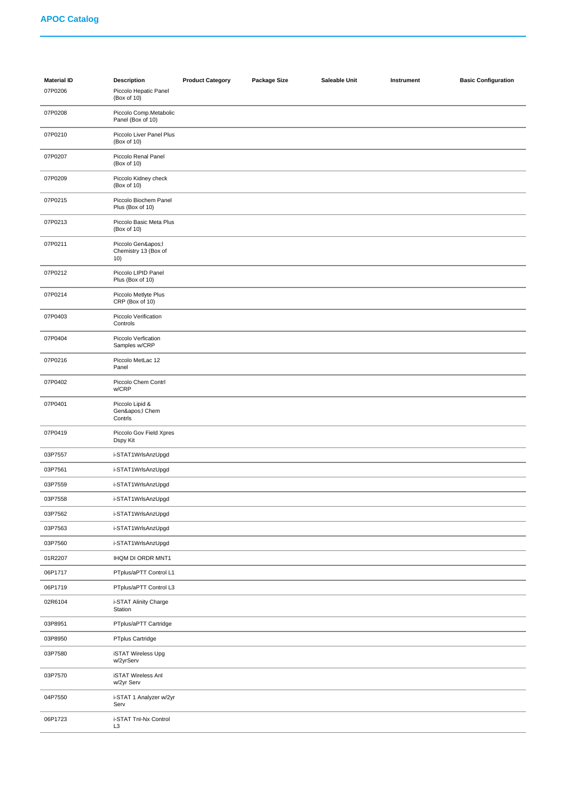| <b>Material ID</b><br>07P0206 | <b>Description</b><br>Piccolo Hepatic Panel<br>(Box of 10) | <b>Product Category</b> | Package Size | Saleable Unit | Instrument | <b>Basic Configuration</b> |
|-------------------------------|------------------------------------------------------------|-------------------------|--------------|---------------|------------|----------------------------|
| 07P0208                       | Piccolo Comp.Metabolic<br>Panel (Box of 10)                |                         |              |               |            |                            |
| 07P0210                       | Piccolo Liver Panel Plus<br>(Box of 10)                    |                         |              |               |            |                            |
| 07P0207                       | Piccolo Renal Panel<br>(Box of 10)                         |                         |              |               |            |                            |
| 07P0209                       | Piccolo Kidney check<br>(Box of 10)                        |                         |              |               |            |                            |
| 07P0215                       | Piccolo Biochem Panel<br>Plus (Box of 10)                  |                         |              |               |            |                            |
| 07P0213                       | Piccolo Basic Meta Plus<br>(Box of 10)                     |                         |              |               |            |                            |
| 07P0211                       | Piccolo Gen'I<br>Chemistry 13 (Box of<br>10)               |                         |              |               |            |                            |
| 07P0212                       | Piccolo LIPID Panel<br>Plus (Box of 10)                    |                         |              |               |            |                            |
| 07P0214                       | Piccolo Metlyte Plus<br>CRP (Box of 10)                    |                         |              |               |            |                            |
| 07P0403                       | Piccolo Verification<br>Controls                           |                         |              |               |            |                            |
| 07P0404                       | Piccolo Verfication<br>Samples w/CRP                       |                         |              |               |            |                            |
| 07P0216                       | Piccolo MetLac 12<br>Panel                                 |                         |              |               |            |                            |
| 07P0402                       | Piccolo Chem Contrl<br>w/CRP                               |                         |              |               |            |                            |
| 07P0401                       | Piccolo Lipid &<br>Gen'I Chem<br>Contrls                   |                         |              |               |            |                            |
| 07P0419                       | Piccolo Gov Field Xpres<br>Dspy Kit                        |                         |              |               |            |                            |
| 03P7557                       | i-STAT1WrlsAnzUpgd                                         |                         |              |               |            |                            |
| 03P7561                       | i-STAT1WrlsAnzUpgd                                         |                         |              |               |            |                            |
| 03P7559                       | i-STAT1WrlsAnzUpgd                                         |                         |              |               |            |                            |
| 03P7558                       | i-STAT1WrlsAnzUpgd                                         |                         |              |               |            |                            |
| 03P7562                       | i-STAT1WrlsAnzUpgd                                         |                         |              |               |            |                            |
| 03P7563                       | i-STAT1WrlsAnzUpgd                                         |                         |              |               |            |                            |
| 03P7560                       | i-STAT1WrlsAnzUpgd                                         |                         |              |               |            |                            |
| 01R2207                       | IHQM DI ORDR MNT1                                          |                         |              |               |            |                            |
| 06P1717                       | PTplus/aPTT Control L1                                     |                         |              |               |            |                            |
| 06P1719                       | PTplus/aPTT Control L3                                     |                         |              |               |            |                            |
| 02R6104                       | i-STAT Alinity Charge<br>Station                           |                         |              |               |            |                            |
| 03P8951                       | PTplus/aPTT Cartridge                                      |                         |              |               |            |                            |
| 03P8950                       | PTplus Cartridge                                           |                         |              |               |            |                            |
| 03P7580                       | <b>iSTAT Wireless Upg</b><br>w/2yrServ                     |                         |              |               |            |                            |
| 03P7570                       | <b>iSTAT Wireless Anl</b><br>w/2yr Serv                    |                         |              |               |            |                            |
| 04P7550                       | i-STAT 1 Analyzer w/2yr<br>Serv                            |                         |              |               |            |                            |
| 06P1723                       | i-STAT Tnl-Nx Control<br>L <sub>3</sub>                    |                         |              |               |            |                            |
|                               |                                                            |                         |              |               |            |                            |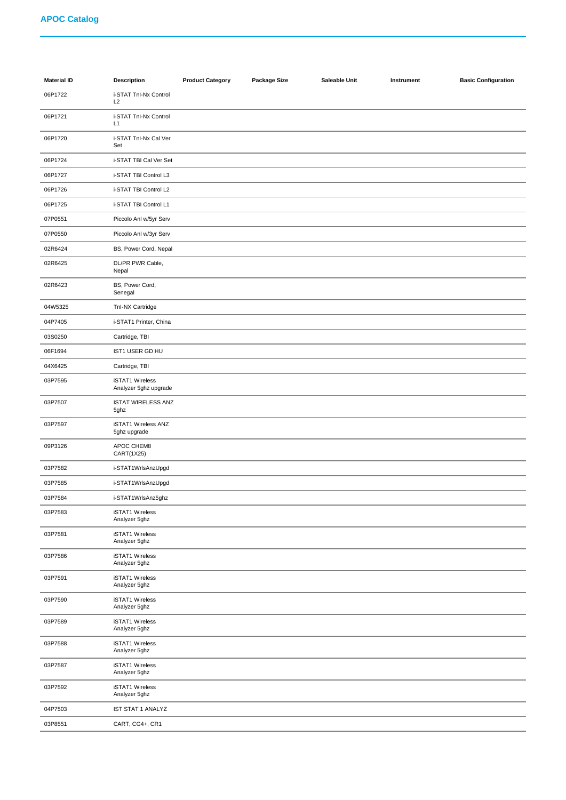| <b>Material ID</b> | <b>Description</b>                              | <b>Product Category</b> | Package Size | Saleable Unit | Instrument | <b>Basic Configuration</b> |
|--------------------|-------------------------------------------------|-------------------------|--------------|---------------|------------|----------------------------|
| 06P1722            | i-STAT Tnl-Nx Control<br>L2                     |                         |              |               |            |                            |
| 06P1721            | i-STAT Tnl-Nx Control<br>L1                     |                         |              |               |            |                            |
| 06P1720            | i-STAT Tnl-Nx Cal Ver<br>Set                    |                         |              |               |            |                            |
| 06P1724            | i-STAT TBI Cal Ver Set                          |                         |              |               |            |                            |
| 06P1727            | i-STAT TBI Control L3                           |                         |              |               |            |                            |
| 06P1726            | i-STAT TBI Control L2                           |                         |              |               |            |                            |
| 06P1725            | i-STAT TBI Control L1                           |                         |              |               |            |                            |
| 07P0551            | Piccolo Anl w/5yr Serv                          |                         |              |               |            |                            |
| 07P0550            | Piccolo Anl w/3yr Serv                          |                         |              |               |            |                            |
| 02R6424            | BS, Power Cord, Nepal                           |                         |              |               |            |                            |
| 02R6425            | DL/PR PWR Cable,<br>Nepal                       |                         |              |               |            |                            |
| 02R6423            | BS, Power Cord,<br>Senegal                      |                         |              |               |            |                            |
| 04W5325            | Tnl-NX Cartridge                                |                         |              |               |            |                            |
| 04P7405            | i-STAT1 Printer, China                          |                         |              |               |            |                            |
| 03S0250            | Cartridge, TBI                                  |                         |              |               |            |                            |
| 06F1694            | IST1 USER GD HU                                 |                         |              |               |            |                            |
| 04X6425            | Cartridge, TBI                                  |                         |              |               |            |                            |
| 03P7595            | <b>iSTAT1 Wireless</b><br>Analyzer 5ghz upgrade |                         |              |               |            |                            |
| 03P7507            | <b>ISTAT WIRELESS ANZ</b><br>5ghz               |                         |              |               |            |                            |
| 03P7597            | <b>iSTAT1 Wireless ANZ</b><br>5ghz upgrade      |                         |              |               |            |                            |
| 09P3126            | APOC CHEM8<br>CART(1X25)                        |                         |              |               |            |                            |
| 03P7582            | i-STAT1WrlsAnzUpgd                              |                         |              |               |            |                            |
| 03P7585            | i-STAT1WrlsAnzUpgd                              |                         |              |               |            |                            |
| 03P7584            | i-STAT1WrlsAnz5ghz                              |                         |              |               |            |                            |
| 03P7583            | <b>iSTAT1 Wireless</b><br>Analyzer 5ghz         |                         |              |               |            |                            |
| 03P7581            | <b>iSTAT1</b> Wireless<br>Analyzer 5ghz         |                         |              |               |            |                            |
| 03P7586            | iSTAT1 Wireless<br>Analyzer 5ghz                |                         |              |               |            |                            |
| 03P7591            | iSTAT1 Wireless<br>Analyzer 5ghz                |                         |              |               |            |                            |
| 03P7590            | iSTAT1 Wireless<br>Analyzer 5ghz                |                         |              |               |            |                            |
| 03P7589            | iSTAT1 Wireless<br>Analyzer 5ghz                |                         |              |               |            |                            |
| 03P7588            | <b>iSTAT1 Wireless</b><br>Analyzer 5ghz         |                         |              |               |            |                            |
| 03P7587            | <b>iSTAT1 Wireless</b><br>Analyzer 5ghz         |                         |              |               |            |                            |
| 03P7592            | <b>iSTAT1 Wireless</b><br>Analyzer 5ghz         |                         |              |               |            |                            |
| 04P7503            | IST STAT 1 ANALYZ                               |                         |              |               |            |                            |
| 03P8551            | CART, CG4+, CR1                                 |                         |              |               |            |                            |